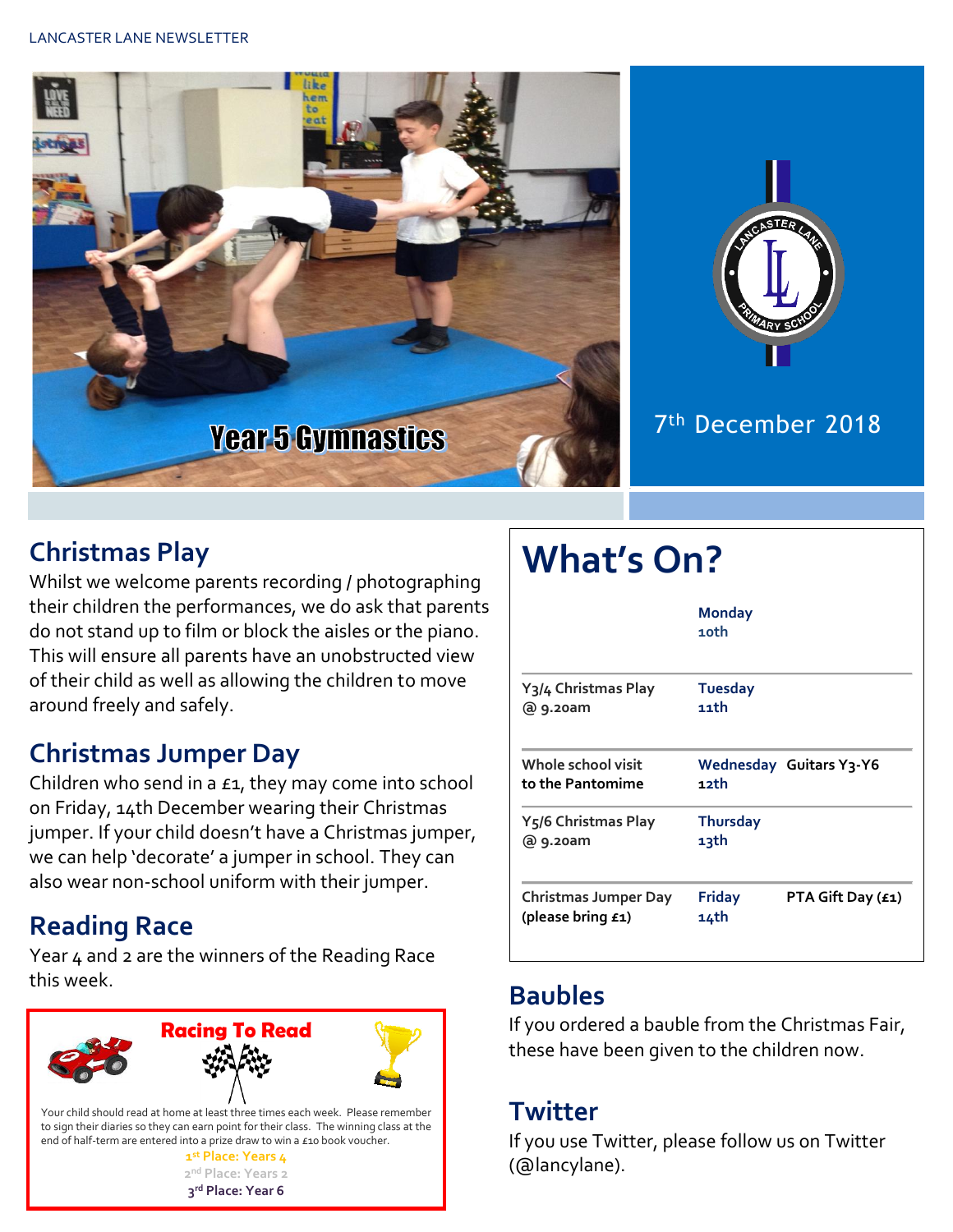



#### 7 th December 2018

#### **Christmas Play**

Whilst we welcome parents recording / photographing their children the performances, we do ask that parents do not stand up to film or block the aisles or the piano. This will ensure all parents have an unobstructed view of their child as well as allowing the children to move around freely and safely.

#### **Christmas Jumper Day**

Children who send in a £1, they may come into school on Friday, 14th December wearing their Christmas jumper. If your child doesn't have a Christmas jumper, we can help 'decorate' a jumper in school. They can also wear non-school uniform with their jumper.

#### **Reading Race**

Year 4 and 2 are the winners of the Reading Race this week. **Baubles**



# **What's On?**

|                                                  | <b>Monday</b><br>10th                      |
|--------------------------------------------------|--------------------------------------------|
| Y <sub>3</sub> /4 Christmas Play                 | <b>Tuesday</b>                             |
| @ 9.20am                                         | 11th                                       |
| Whole school visit                               | Wednesday Guitars Y3-Y6                    |
| to the Pantomime                                 | 12th                                       |
| Y <sub>5</sub> /6 Christmas Play                 | <b>Thursday</b>                            |
| @ 9.20am                                         | 13th                                       |
| <b>Christmas Jumper Day</b><br>(please bring £1) | <b>Friday</b><br>PTA Gift Day (£1)<br>14th |

If you ordered a bauble from the Christmas Fair, these have been given to the children now.

#### **Twitter**

If you use Twitter, please follow us on Twitter (@lancylane).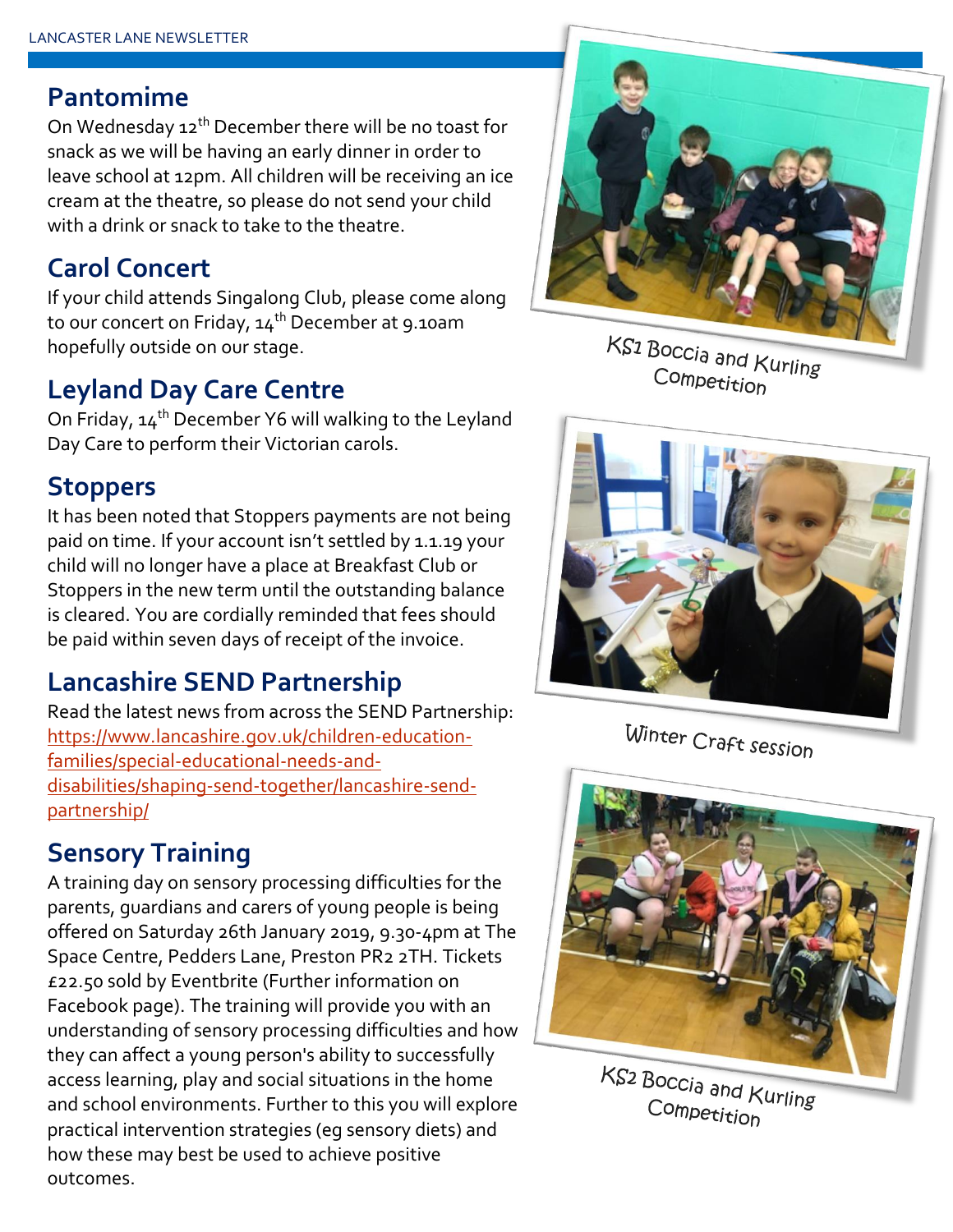#### **Pantomime**

On Wednesday 12<sup>th</sup> December there will be no toast for snack as we will be having an early dinner in order to leave school at 12pm. All children will be receiving an ice cream at the theatre, so please do not send your child with a drink or snack to take to the theatre.

#### **Carol Concert**

If your child attends Singalong Club, please come along to our concert on Friday,  $14^{th}$  December at 9.10am hopefully outside on our stage.

#### **Leyland Day Care Centre**

On Friday, 14<sup>th</sup> December Y6 will walking to the Leyland Day Care to perform their Victorian carols.

#### **Stoppers**

It has been noted that Stoppers payments are not being paid on time. If your account isn't settled by 1.1.19 your child will no longer have a place at Breakfast Club or Stoppers in the new term until the outstanding balance is cleared. You are cordially reminded that fees should be paid within seven days of receipt of the invoice.

#### **Lancashire SEND Partnership**

Read the latest news from across the SEND Partnership: [https://www.lancashire.gov.uk/children-education](https://www.lancashire.gov.uk/children-education-families/special-educational-needs-and-disabilities/shaping-send-together/lancashire-send-partnership/)[families/special-educational-needs-and](https://www.lancashire.gov.uk/children-education-families/special-educational-needs-and-disabilities/shaping-send-together/lancashire-send-partnership/)[disabilities/shaping-send-together/lancashire-send](https://www.lancashire.gov.uk/children-education-families/special-educational-needs-and-disabilities/shaping-send-together/lancashire-send-partnership/)[partnership/](https://www.lancashire.gov.uk/children-education-families/special-educational-needs-and-disabilities/shaping-send-together/lancashire-send-partnership/)

## **Sensory Training**

A training day on sensory processing difficulties for the parents, guardians and carers of young people is being offered on Saturday 26th January 2019, 9.30-4pm at The Space Centre, Pedders Lane, Preston PR2 2TH. Tickets £22.50 sold by Eventbrite (Further information on Facebook page). The training will provide you with an understanding of sensory processing difficulties and how they can affect a young person's ability to successfully access learning, play and social situations in the home and school environments. Further to this you will explore practical intervention strategies (eg sensory diets) and how these may best be used to achieve positive outcomes.



KS<sub>1</sub> Boccia and Kurling Competition



Winter Craft session



KS<sub>2</sub> Boccia and Kurling Competition